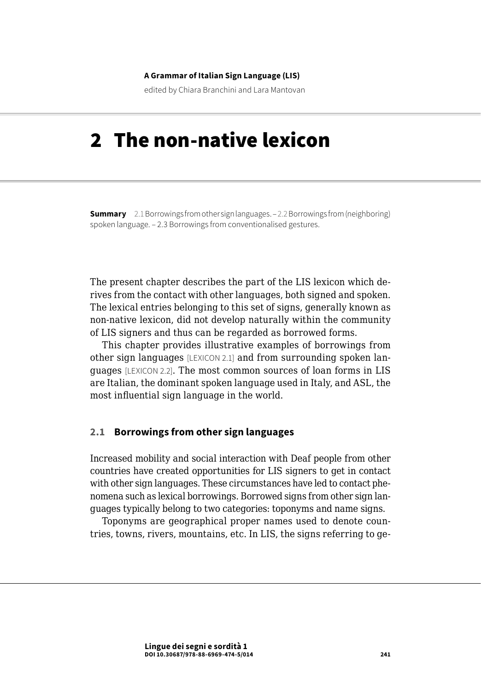#### **A Grammar of Italian Sign Language (LIS)**

edited by Chiara Branchini and Lara Mantovan

# 2 The non-native lexicon

**Summary** 2.1 Borrowings from other sign languages. – 2.2 Borrowings from (neighboring) [spoken language.](#page-2-0) – [2.3 Borrowings from conventionalised gestures.](#page-17-0)

The present chapter describes the part of the LIS lexicon which derives from the contact with other languages, both signed and spoken. The lexical entries belonging to this set of signs, generally known as non-native lexicon, did not develop naturally within the community of LIS signers and thus can be regarded as borrowed forms.

This chapter provides illustrative examples of borrowings from other sign languages [LEXICON 2.1] and from surrounding spoken languages [LEXICON 2.2]. The most common sources of loan forms in LIS are Italian, the dominant spoken language used in Italy, and ASL, the most influential sign language in the world.

## **2.1 Borrowings from other sign languages**

Increased mobility and social interaction with Deaf people from other countries have created opportunities for LIS signers to get in contact with other sign languages. These circumstances have led to contact phenomena such as lexical borrowings. Borrowed signs from other sign languages typically belong to two categories: toponyms and name signs.

Toponyms are geographical proper names used to denote countries, towns, rivers, mountains, etc. In LIS, the signs referring to ge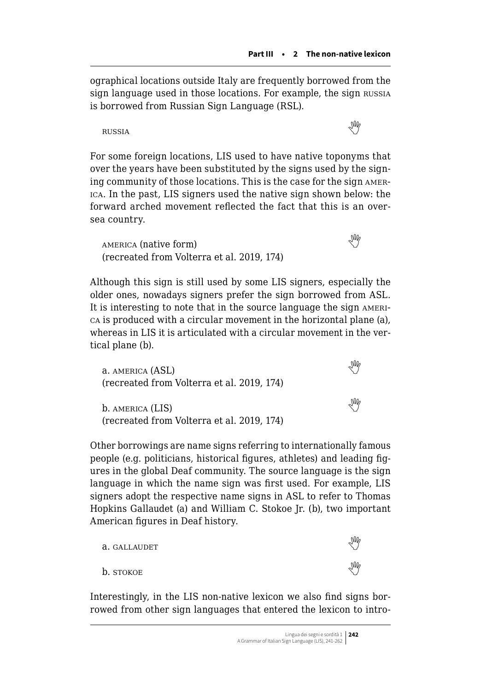ographical locations outside Italy are frequently borrowed from the sign language used in those locations. For example, the sign russia is borrowed from Russian Sign Language (RSL).

russiaand the contract of the contract of the contract of the contract of the contract of the contract of the contract of the contract of the contract of the contract of the contract of the contract of the contract of the

For some foreign locations, LIS used to have native toponyms that over the years have been substituted by the signs used by the signing community of those locations. This is the case for the sign america. In the past, LIS signers used the native sign shown below: the forward arched movement reflected the fact that this is an oversea country.

america(native form) (recreated from Volterra et al. 2019, 174)

Although this sign is still used by some LIS signers, especially the older ones, nowadays signers prefer the sign borrowed from ASL. It is interesting to note that in the source language the sign america is produced with a circular movement in the horizontal plane (a), whereas in LIS it is articulated with a circular movement in the vertical plane (b).

a. america (ASL)  (recreated from Volterra et al. 2019, 174) b. america (LIS) 

(recreated from Volterra et al. 2019, 174)

Other borrowings are name signs referring to internationally famous people (e.g. politicians, historical figures, athletes) and leading figures in the global Deaf community. The source language is the sign language in which the name sign was first used. For example, LIS signers adopt the respective name signs in ASL to refer to Thomas Hopkins Gallaudet (a) and William C. Stokoe Jr. (b), two important American figures in Deaf history.



Interestingly, in the LIS non-native lexicon we also find signs borrowed from other sign languages that entered the lexicon to intro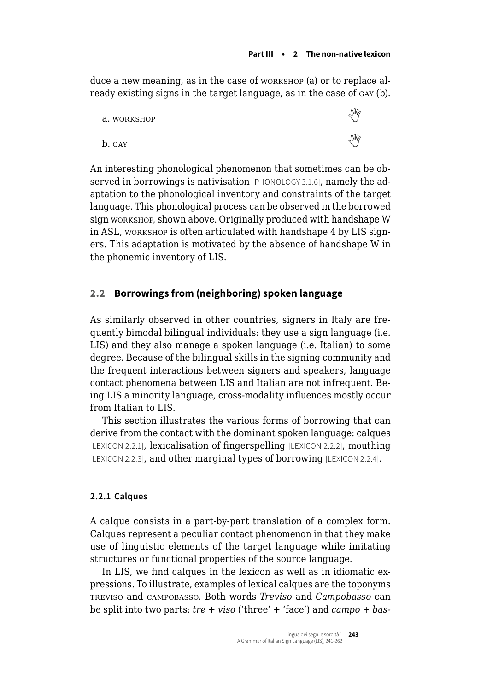<span id="page-2-0"></span>duce a new meaning, as in the case of workshop (a) or to replace already existing signs in the target language, as in the case of gay (b).

| a. WORKSHOP | M |
|-------------|---|
| b. GAY      | N |

An interesting phonological phenomenon that sometimes can be observed in borrowings is nativisation [PHONOLOGY 3.1.6], namely the adaptation to the phonological inventory and constraints of the target language. This phonological process can be observed in the borrowed sign workshop, shown above. Originally produced with handshape W in ASL, workshop is often articulated with handshape 4 by LIS signers. This adaptation is motivated by the absence of handshape W in the phonemic inventory of LIS.

## **2.2 Borrowings from (neighboring) spoken language**

As similarly observed in other countries, signers in Italy are frequently bimodal bilingual individuals: they use a sign language (i.e. LIS) and they also manage a spoken language (i.e. Italian) to some degree. Because of the bilingual skills in the signing community and the frequent interactions between signers and speakers, language contact phenomena between LIS and Italian are not infrequent. Being LIS a minority language, cross-modality influences mostly occur from Italian to LIS.

This section illustrates the various forms of borrowing that can derive from the contact with the dominant spoken language: calques [LEXICON 2.2.1], lexicalisation of fingerspelling [LEXICON 2.2.2], mouthing [LEXICON 2.2.3], and other marginal types of borrowing [LEXICON 2.2.4].

## **2.2.1 Calques**

A calque consists in a part-by-part translation of a complex form. Calques represent a peculiar contact phenomenon in that they make use of linguistic elements of the target language while imitating structures or functional properties of the source language.

In LIS, we find calques in the lexicon as well as in idiomatic expressions. To illustrate, examples of lexical calques are the toponyms treviso and campobasso. Both words *Treviso* and *Campobasso* can be split into two parts: *tre* + *viso* ('three' + 'face') and *campo* + *bas-*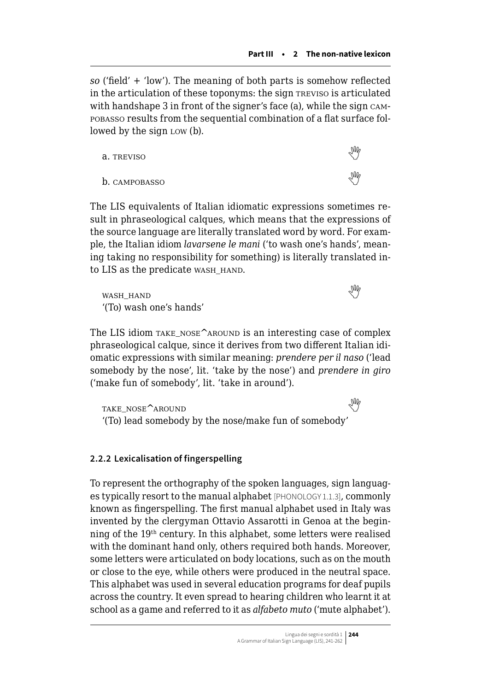*so* ('field' + 'low'). The meaning of both parts is somehow reflected in the articulation of these toponyms: the sign treviso is articulated with handshape 3 in front of the signer's face (a), while the sign campobasso results from the sequential combination of a flat surface followed by the sign Low (b).

| a. TREVISO    | .NW |
|---------------|-----|
| b. CAMPOBASSO | M   |

The LIS equivalents of Italian idiomatic expressions sometimes result in phraseological calques, which means that the expressions of the source language are literally translated word by word. For example, the Italian idiom *lavarsene le mani* ('to wash one's hands', meaning taking no responsibility for something) is literally translated into LIS as the predicate wash\_hand.

wash\_handwash  $\mathbb{W}$ '(To) wash one's hands'

The LIS idiom TAKE NOSE<sup>^</sup>AROUND is an interesting case of complex phraseological calque, since it derives from two different Italian idiomatic expressions with similar meaning: *prendere per il naso* ('lead somebody by the nose', lit. 'take by the nose') and *prendere in giro* ('make fun of somebody', lit. 'take in around').

TAKE\_NOSE<sup>^</sup>AROUND '(To) lead somebody by the nose/make fun of somebody'

#### **2.2.2 Lexicalisation of fingerspelling**

To represent the orthography of the spoken languages, sign languages typically resort to the manual alphabet [PHONOLOGY 1.1.3], commonly known as fingerspelling. The first manual alphabet used in Italy was invented by the clergyman Ottavio Assarotti in Genoa at the beginning of the 19th century. In this alphabet, some letters were realised with the dominant hand only, others required both hands. Moreover, some letters were articulated on body locations, such as on the mouth or close to the eye, while others were produced in the neutral space. This alphabet was used in several education programs for deaf pupils across the country. It even spread to hearing children who learnt it at school as a game and referred to it as *alfabeto muto* ('mute alphabet').

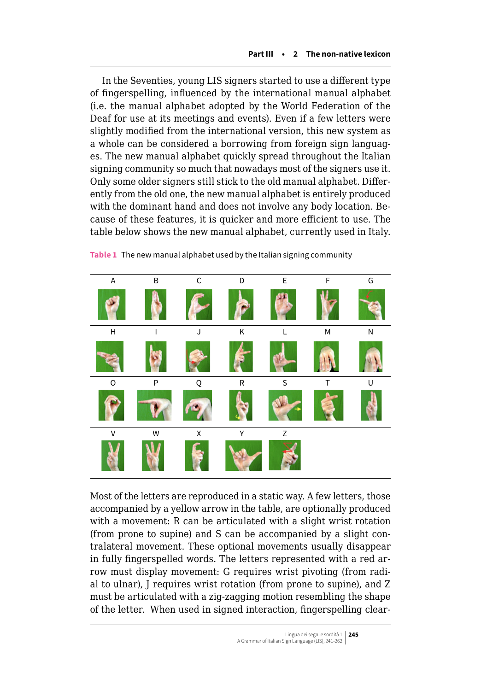In the Seventies, young LIS signers started to use a different type of fingerspelling, influenced by the international manual alphabet (i.e. the manual alphabet adopted by the World Federation of the Deaf for use at its meetings and events). Even if a few letters were slightly modified from the international version, this new system as a whole can be considered a borrowing from foreign sign languages. The new manual alphabet quickly spread throughout the Italian signing community so much that nowadays most of the signers use it. Only some older signers still stick to the old manual alphabet. Differently from the old one, the new manual alphabet is entirely produced with the dominant hand and does not involve any body location. Because of these features, it is quicker and more efficient to use. The table below shows the new manual alphabet, currently used in Italy.



**Table 1** The new manual alphabet used by the Italian signing community

Most of the letters are reproduced in a static way. A few letters, those accompanied by a yellow arrow in the table, are optionally produced with a movement: R can be articulated with a slight wrist rotation (from prone to supine) and S can be accompanied by a slight contralateral movement. These optional movements usually disappear in fully fingerspelled words. The letters represented with a red arrow must display movement: G requires wrist pivoting (from radial to ulnar), J requires wrist rotation (from prone to supine), and Z must be articulated with a zig-zagging motion resembling the shape of the letter. When used in signed interaction, fingerspelling clear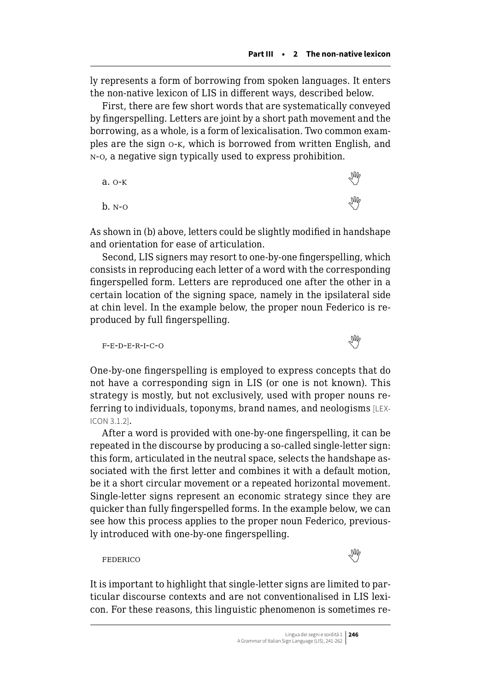ly represents a form of borrowing from spoken languages. It enters the non-native lexicon of LIS in different ways, described below.

First, there are few short words that are systematically conveyed by fingerspelling. Letters are joint by a short path movement and the borrowing, as a whole, is a form of lexicalisation. Two common examples are the sign o-k, which is borrowed from written English, and n-o, a negative sign typically used to express prohibition.

| а. о-к   | M |
|----------|---|
| $b. N-O$ | M |

As shown in (b) above, letters could be slightly modified in handshape and orientation for ease of articulation.

Second, LIS signers may resort to one-by-one fingerspelling, which consists in reproducing each letter of a word with the corresponding fingerspelled form. Letters are reproduced one after the other in a certain location of the signing space, namely in the ipsilateral side at chin level. In the example below, the proper noun Federico is reproduced by full fingerspelling.

 $F-E-D-E-R-I-C-O$ 

One-by-one fingerspelling is employed to express concepts that do not have a corresponding sign in LIS (or one is not known). This strategy is mostly, but not exclusively, used with proper nouns referring to individuals, toponyms, brand names, and neologisms [LEX-ICON 3.1.2].

After a word is provided with one-by-one fingerspelling, it can be repeated in the discourse by producing a so-called single-letter sign: this form, articulated in the neutral space, selects the handshape associated with the first letter and combines it with a default motion, be it a short circular movement or a repeated horizontal movement. Single-letter signs represent an economic strategy since they are quicker than fully fingerspelled forms. In the example below, we can see how this process applies to the proper noun Federico, previously introduced with one-by-one fingerspelling.

## FEDERICONECESSARIO E EL CONSTRUITO DE SUR EL CONSTRUITO DE SUR EL CONSTRUITO DE SUR EL CONSTRUITO DE SUR EL CONSTRUITO DE SUR EL CONSTRUITO DE SUR EL CONSTRUITO DE SUR EL CONSTRUITO DE SUR EL CONSTRUITO DE SUR EL CONSTRUI

It is important to highlight that single-letter signs are limited to particular discourse contexts and are not conventionalised in LIS lexicon. For these reasons, this linguistic phenomenon is sometimes re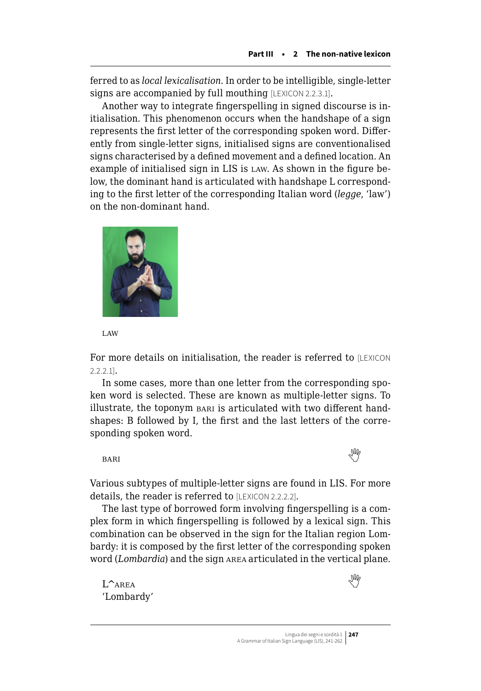ferred to as *local lexicalisation*. In order to be intelligible, single-letter signs are accompanied by full mouthing [LEXICON 2.2.3.1].

Another way to integrate fingerspelling in signed discourse is initialisation. This phenomenon occurs when the handshape of a sign represents the first letter of the corresponding spoken word. Differently from single-letter signs, initialised signs are conventionalised signs characterised by a defined movement and a defined location. An example of initialised sign in LIS is law. As shown in the figure below, the dominant hand is articulated with handshape L corresponding to the first letter of the corresponding Italian word (*legge*, 'law') on the non-dominant hand.



law

For more details on initialisation, the reader is referred to [LEXICON 2.2.2.1].

In some cases, more than one letter from the corresponding spoken word is selected. These are known as multiple-letter signs. To illustrate, the toponym bari is articulated with two different handshapes: B followed by I, the first and the last letters of the corresponding spoken word.

barida bari da aka shekarar 1992, a shekarar 1993, a shekarar 1993, a shekarar 1993, a shekarar 19

Various subtypes of multiple-letter signs are found in LIS. For more details, the reader is referred to [LEXICON 2.2.2.2].

The last type of borrowed form involving fingerspelling is a complex form in which fingerspelling is followed by a lexical sign. This combination can be observed in the sign for the Italian region Lombardy: it is composed by the first letter of the corresponding spoken word (*Lombardia*) and the sign area articulated in the vertical plane.

 $L^{\Lambda}$ area 'Lombardy'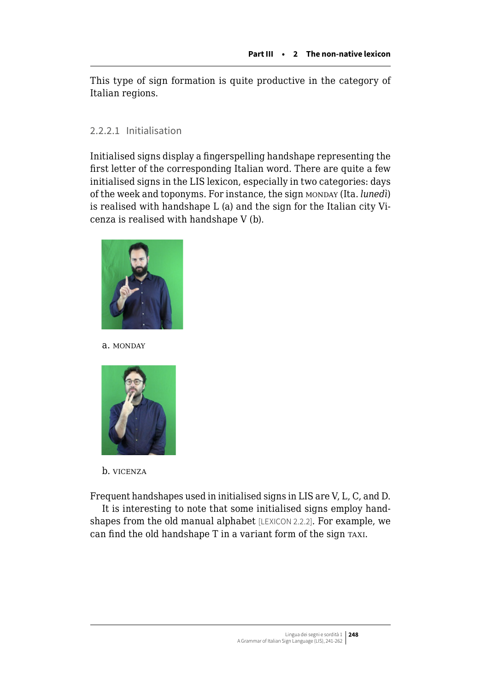This type of sign formation is quite productive in the category of Italian regions.

## 2.2.2.1 Initialisation

Initialised signs display a fingerspelling handshape representing the first letter of the corresponding Italian word. There are quite a few initialised signs in the LIS lexicon, especially in two categories: days of the week and toponyms. For instance, the sign monday (Ita. *lunedì*) is realised with handshape L (a) and the sign for the Italian city Vicenza is realised with handshape V (b).



a. MONDAY



b. vicenza

Frequent handshapes used in initialised signs in LIS are V, L, C, and D.

It is interesting to note that some initialised signs employ handshapes from the old manual alphabet [LEXICON 2.2.2]. For example, we can find the old handshape T in a variant form of the sign TAXI.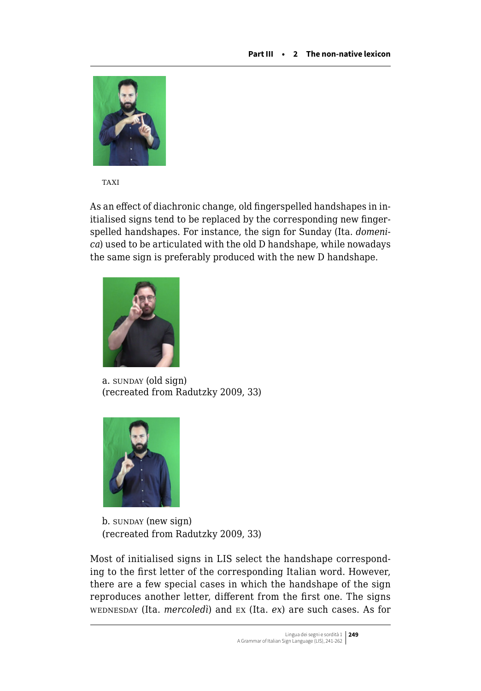

**TAXI** 

As an effect of diachronic change, old fingerspelled handshapes in initialised signs tend to be replaced by the corresponding new fingerspelled handshapes. For instance, the sign for Sunday (Ita. *domenica*) used to be articulated with the old D handshape, while nowadays the same sign is preferably produced with the new D handshape.



a. sunday (old sign) (recreated from Radutzky 2009, 33)



b. sunday (new sign) (recreated from Radutzky 2009, 33)

Most of initialised signs in LIS select the handshape corresponding to the first letter of the corresponding Italian word. However, there are a few special cases in which the handshape of the sign reproduces another letter, different from the first one. The signs wednesday (Ita. *mercoledì*) and ex (Ita. *ex*) are such cases. As for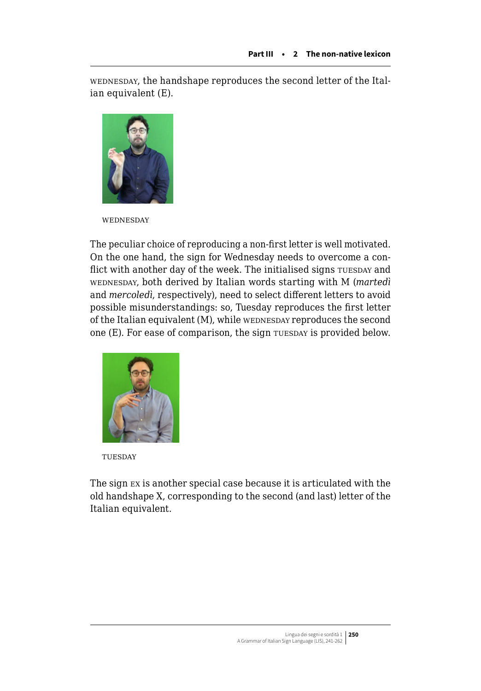wednesday, the handshape reproduces the second letter of the Italian equivalent (E).



**WEDNESDAY** 

The peculiar choice of reproducing a non-first letter is well motivated. On the one hand, the sign for Wednesday needs to overcome a conflict with another day of the week. The initialised signs TUESDAY and wednesday, both derived by Italian words starting with M (*martedì* and *mercoledì*, respectively), need to select different letters to avoid possible misunderstandings: so, Tuesday reproduces the first letter of the Italian equivalent (M), while webnesday reproduces the second one (E). For ease of comparison, the sign tuesday is provided below.



**TUESDAY** 

The sign ex is another special case because it is articulated with the old handshape X, corresponding to the second (and last) letter of the Italian equivalent.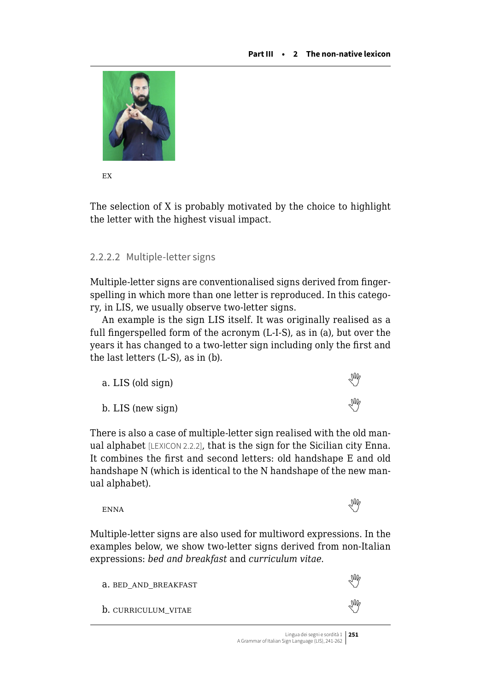

ex

The selection of X is probably motivated by the choice to highlight the letter with the highest visual impact.

## 2.2.2.2 Multiple-letter signs

Multiple-letter signs are conventionalised signs derived from fingerspelling in which more than one letter is reproduced. In this category, in LIS, we usually observe two-letter signs.

An example is the sign LIS itself. It was originally realised as a full fingerspelled form of the acronym (L-I-S), as in (a), but over the years it has changed to a two-letter sign including only the first and the last letters (L-S), as in (b).

| a. LIS (old sign) | Ind |
|-------------------|-----|
| b. LIS (new sign) | MZ  |

There is also a case of multiple-letter sign realised with the old manual alphabet [LEXICON 2.2.2], that is the sign for the Sicilian city Enna. It combines the first and second letters: old handshape E and old handshape N (which is identical to the N handshape of the new manual alphabet).

enna 

Multiple-letter signs are also used for multiword expressions. In the examples below, we show two-letter signs derived from non-Italian expressions: *bed and breakfast* and *curriculum vitae*.

| a. BED AND BREAKFAST       | ₩ |
|----------------------------|---|
| <b>b.</b> CURRICULUM VITAE | M |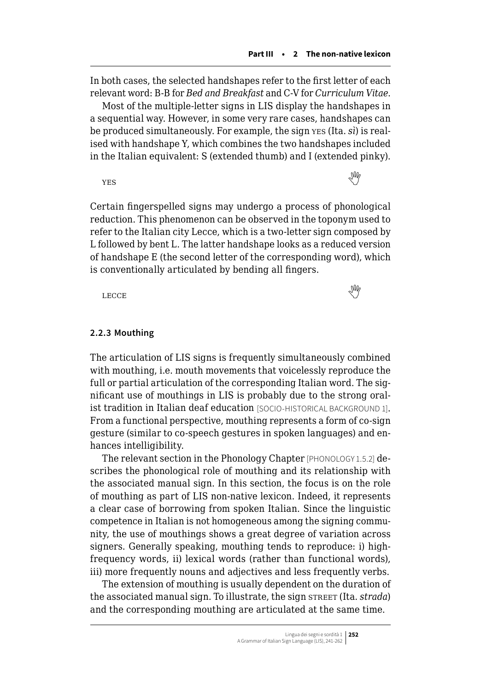In both cases, the selected handshapes refer to the first letter of each relevant word: B-B for *Bed and Breakfast* and C-V for *Curriculum Vitae*.

Most of the multiple-letter signs in LIS display the handshapes in a sequential way. However, in some very rare cases, handshapes can be produced simultaneously. For example, the sign yes (Ita. *sì*) is realised with handshape Y, which combines the two handshapes included in the Italian equivalent: S (extended thumb) and I (extended pinky).

yesthe contract of the contract of the contract of the contract of the contract of the contract of the contract of the contract of the contract of the contract of the contract of the contract of the contract of the contra

Certain fingerspelled signs may undergo a process of phonological reduction. This phenomenon can be observed in the toponym used to refer to the Italian city Lecce, which is a two-letter sign composed by L followed by bent L. The latter handshape looks as a reduced version of handshape E (the second letter of the corresponding word), which is conventionally articulated by bending all fingers.

LECCENEWSLETTER STREET

#### **2.2.3 Mouthing**

The articulation of LIS signs is frequently simultaneously combined with mouthing, i.e. mouth movements that voicelessly reproduce the full or partial articulation of the corresponding Italian word. The significant use of mouthings in LIS is probably due to the strong oralist tradition in Italian deaf education [SOCIO-HISTORICAL BACKGROUND 1]. From a functional perspective, mouthing represents a form of co-sign gesture (similar to co-speech gestures in spoken languages) and enhances intelligibility.

The relevant section in the Phonology Chapter [PHONOLOGY 1.5.2] describes the phonological role of mouthing and its relationship with the associated manual sign. In this section, the focus is on the role of mouthing as part of LIS non-native lexicon. Indeed, it represents a clear case of borrowing from spoken Italian. Since the linguistic competence in Italian is not homogeneous among the signing community, the use of mouthings shows a great degree of variation across signers. Generally speaking, mouthing tends to reproduce: i) highfrequency words, ii) lexical words (rather than functional words), iii) more frequently nouns and adjectives and less frequently verbs.

The extension of mouthing is usually dependent on the duration of the associated manual sign. To illustrate, the sign street (Ita. *strada*) and the corresponding mouthing are articulated at the same time.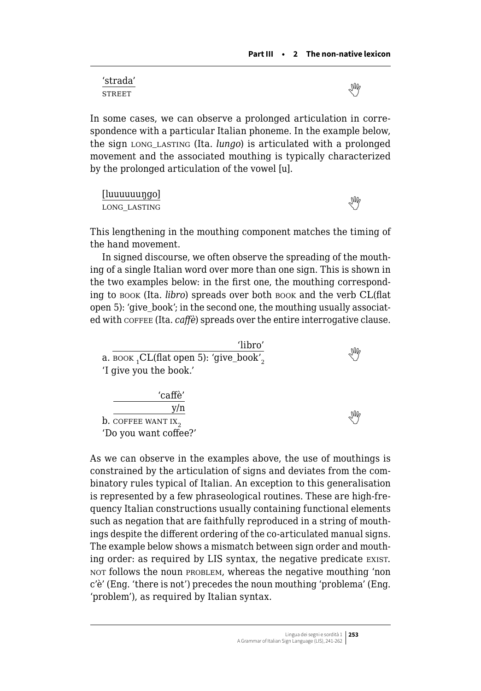'strada' STREETWE

In some cases, we can observe a prolonged articulation in correspondence with a particular Italian phoneme. In the example below, the sign long\_lasting (Ita. *lungo*) is articulated with a prolonged movement and the associated mouthing is typically characterized by the prolonged articulation of the vowel [u].

| [luuuuungo]  | NW |
|--------------|----|
| LONG LASTING |    |

This lengthening in the mouthing component matches the timing of the hand movement.

In signed discourse, we often observe the spreading of the mouthing of a single Italian word over more than one sign. This is shown in the two examples below: in the first one, the mouthing corresponding to book (Ita. *libro*) spreads over both book and the verb CL(flat open 5): 'give\_book'; in the second one, the mouthing usually associated with coffee (Ita. *caffe*) spreads over the entire interrogative clause.

| 'libro'                                        |   |
|------------------------------------------------|---|
| a. BOOK ${}_{1}CL$ (flat open 5): 'give_book', | M |
| 'I give you the book.'                         |   |
|                                                |   |
| 'caffè'                                        |   |
| v/n                                            |   |
| <b>b.</b> COFFEE WANT IX <sub>2</sub>          |   |
| 'Do you want coffee?'                          |   |

As we can observe in the examples above, the use of mouthings is constrained by the articulation of signs and deviates from the combinatory rules typical of Italian. An exception to this generalisation is represented by a few phraseological routines. These are high-frequency Italian constructions usually containing functional elements such as negation that are faithfully reproduced in a string of mouthings despite the different ordering of the co-articulated manual signs. The example below shows a mismatch between sign order and mouthing order: as required by LIS syntax, the negative predicate exist. not follows the noun problem, whereas the negative mouthing 'non c'è' (Eng. 'there is not') precedes the noun mouthing 'problema' (Eng. 'problem'), as required by Italian syntax.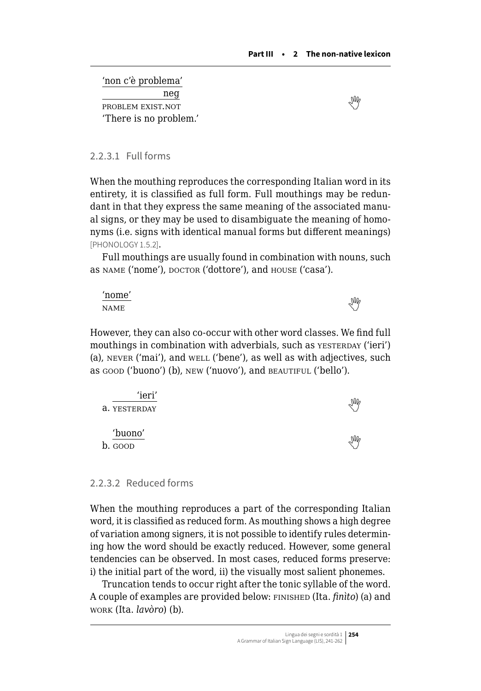'non c'è problema' neg problemexist.not 'There is no problem.'

2.2.3.1 Full forms

When the mouthing reproduces the corresponding Italian word in its entirety, it is classified as full form. Full mouthings may be redundant in that they express the same meaning of the associated manual signs, or they may be used to disambiguate the meaning of homonyms (i.e. signs with identical manual forms but different meanings) [PHONOLOGY 1.5.2].

Full mouthings are usually found in combination with nouns, such as NAME ('nome'), DOCTOR ('dottore'), and HOUSE ('casa').

| 'nome'      | $\mathbb{W}_{\rho}$ |
|-------------|---------------------|
| <b>NAME</b> |                     |

However, they can also co-occur with other word classes. We find full mouthings in combination with adverbials, such as YESTERDAY ('ieri') (a), NEVER ('mai'), and WELL ('bene'), as well as with adjectives, such as good ('buono') (b), NEW ('nuovo'), and BEAUTIFUL ('bello').

| 'ieri'<br>a. YESTERDAY | NW |
|------------------------|----|
| 'buono'<br>$b.$ GOOD   | NW |

## 2.2.3.2 Reduced forms

When the mouthing reproduces a part of the corresponding Italian word, it is classified as reduced form. As mouthing shows a high degree of variation among signers, it is not possible to identify rules determining how the word should be exactly reduced. However, some general tendencies can be observed. In most cases, reduced forms preserve: i) the initial part of the word, ii) the visually most salient phonemes.

Truncation tends to occur right after the tonic syllable of the word. A couple of examples are provided below: finished (Ita. *finìto*) (a) and work (Ita. *lavòro*) (b).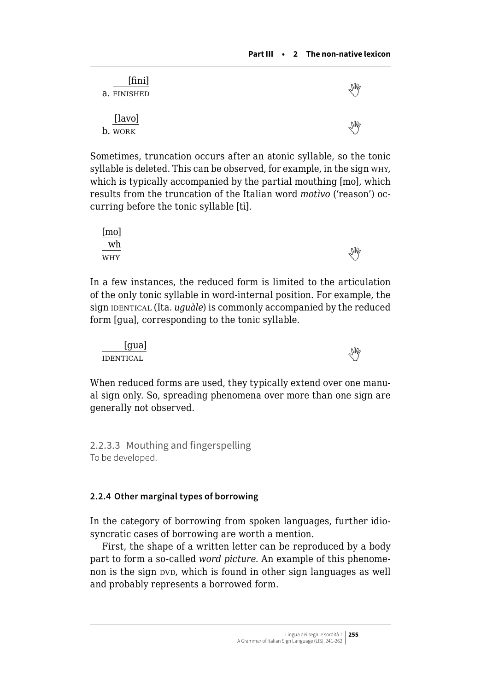| [fini]<br>a. FINISHED | $\sqrt{\frac{2}{3}}$ |
|-----------------------|----------------------|
| [lavo]<br>b. WORK     | $\sqrt{\frac{2}{3}}$ |

Sometimes, truncation occurs after an atonic syllable, so the tonic syllable is deleted. This can be observed, for example, in the sign why, which is typically accompanied by the partial mouthing [mo], which results from the truncation of the Italian word *motìvo* ('reason') occurring before the tonic syllable [tì].

[mo] wh  $\frac{1}{\sqrt{m}}$ 

In a few instances, the reduced form is limited to the articulation of the only tonic syllable in word-internal position. For example, the sign IDENTICAL (Ita. *uguàle*) is commonly accompanied by the reduced form [gua], corresponding to the tonic syllable.

| [gua]     | M |
|-----------|---|
| IDENTICAL | ∾ |

When reduced forms are used, they typically extend over one manual sign only. So, spreading phenomena over more than one sign are generally not observed.

2.2.3.3 Mouthing and fingerspelling To be developed.

## **2.2.4 Other marginal types of borrowing**

In the category of borrowing from spoken languages, further idiosyncratic cases of borrowing are worth a mention.

First, the shape of a written letter can be reproduced by a body part to form a so-called *word picture*. An example of this phenomenon is the sign pvp, which is found in other sign languages as well and probably represents a borrowed form.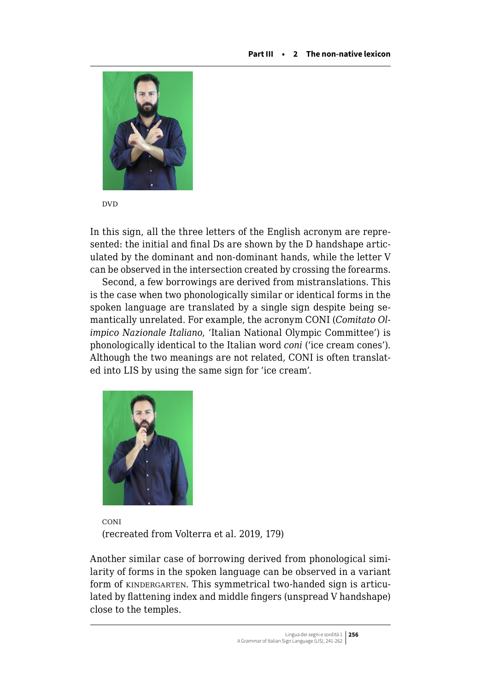

 $\overline{D}$ 

In this sign, all the three letters of the English acronym are represented: the initial and final Ds are shown by the D handshape articulated by the dominant and non-dominant hands, while the letter V can be observed in the intersection created by crossing the forearms.

Second, a few borrowings are derived from mistranslations. This is the case when two phonologically similar or identical forms in the spoken language are translated by a single sign despite being semantically unrelated. For example, the acronym CONI (*Comitato Olimpico Nazionale Italiano*, 'Italian National Olympic Committee') is phonologically identical to the Italian word *coni* ('ice cream cones'). Although the two meanings are not related, CONI is often translated into LIS by using the same sign for 'ice cream'.



coni (recreated from Volterra et al. 2019, 179)

Another similar case of borrowing derived from phonological similarity of forms in the spoken language can be observed in a variant form of KINDERGARTEN. This symmetrical two-handed sign is articulated by flattening index and middle fingers (unspread V handshape) close to the temples.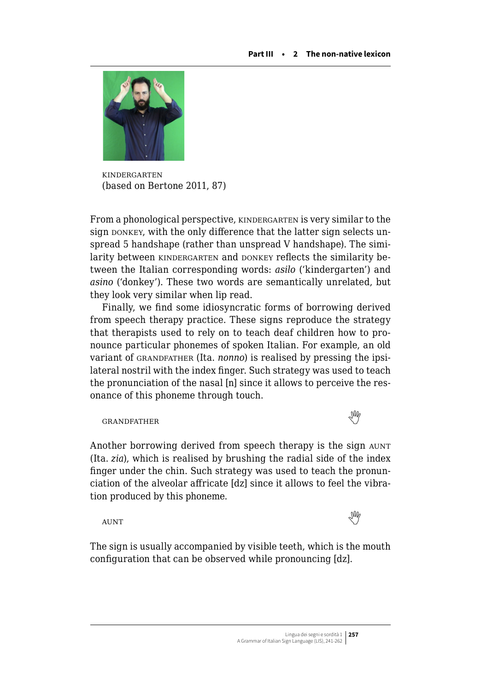

kindergarten (based on Bertone 2011, 87)

From a phonological perspective, KINDERGARTEN is very similar to the sign donkey, with the only difference that the latter sign selects unspread 5 handshape (rather than unspread V handshape). The similarity between KINDERGARTEN and DONKEY reflects the similarity between the Italian corresponding words: *asilo* ('kindergarten') and *asino* ('donkey'). These two words are semantically unrelated, but they look very similar when lip read.

Finally, we find some idiosyncratic forms of borrowing derived from speech therapy practice. These signs reproduce the strategy that therapists used to rely on to teach deaf children how to pronounce particular phonemes of spoken Italian. For example, an old variant of grandfather (Ita. *nonno*) is realised by pressing the ipsilateral nostril with the index finger. Such strategy was used to teach the pronunciation of the nasal [n] since it allows to perceive the resonance of this phoneme through touch.

 $\mathcal{C}^{\text{M}}$ grandfather

Another borrowing derived from speech therapy is the sign aunt (Ita. *zia*), which is realised by brushing the radial side of the index finger under the chin. Such strategy was used to teach the pronunciation of the alveolar affricate [dz] since it allows to feel the vibration produced by this phoneme.

auntthe contract of the contract of the contract of the contract of the contract of the contract of the contract of the contract of the contract of the contract of the contract of the contract of the contract of the contr

The sign is usually accompanied by visible teeth, which is the mouth configuration that can be observed while pronouncing [dz].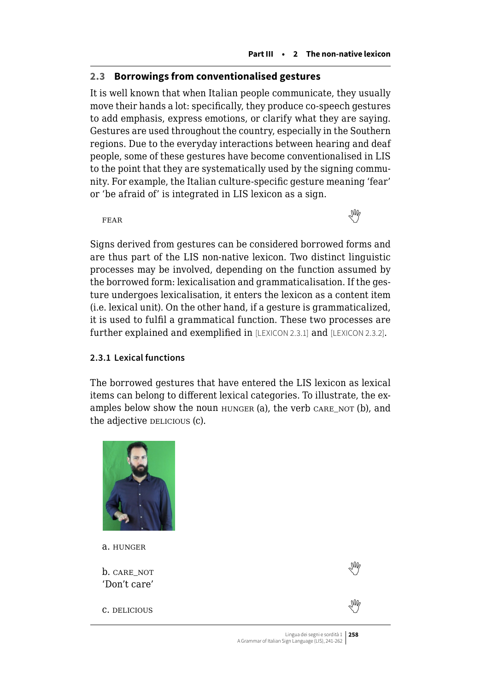## <span id="page-17-0"></span>**2.3 Borrowings from conventionalised gestures**

It is well known that when Italian people communicate, they usually move their hands a lot: specifically, they produce co-speech gestures to add emphasis, express emotions, or clarify what they are saying. Gestures are used throughout the country, especially in the Southern regions. Due to the everyday interactions between hearing and deaf people, some of these gestures have become conventionalised in LIS to the point that they are systematically used by the signing community. For example, the Italian culture-specific gesture meaning 'fear' or 'be afraid of' is integrated in LIS lexicon as a sign.

FEARWE

Signs derived from gestures can be considered borrowed forms and are thus part of the LIS non-native lexicon. Two distinct linguistic processes may be involved, depending on the function assumed by the borrowed form: lexicalisation and grammaticalisation. If the gesture undergoes lexicalisation, it enters the lexicon as a content item (i.e. lexical unit). On the other hand, if a gesture is grammaticalized, it is used to fulfil a grammatical function. These two processes are further explained and exemplified in [LEXICON 2.3.1] and [LEXICON 2.3.2].

## **2.3.1 Lexical functions**

The borrowed gestures that have entered the LIS lexicon as lexical items can belong to different lexical categories. To illustrate, the examples below show the noun  $H$ <sup>1</sup> HUNGER (a), the verb care NOT (b), and the adjective DELICIOUS (c).



a. hunger b. care\_not  'Don't care' c.delicious  $\mathbb{W}$ 

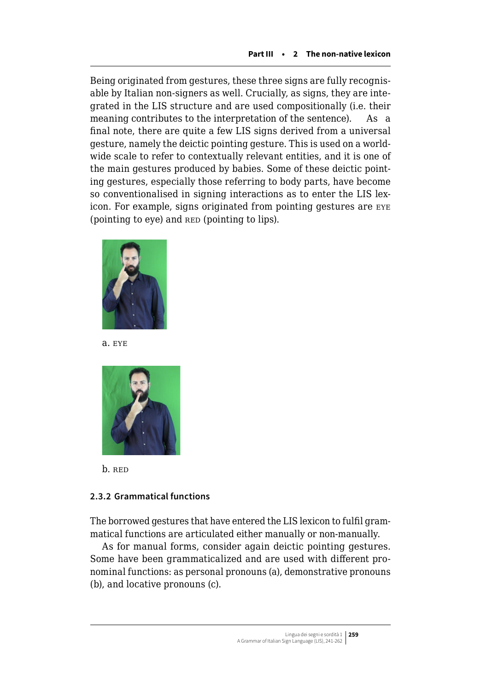Being originated from gestures, these three signs are fully recognisable by Italian non-signers as well. Crucially, as signs, they are integrated in the LIS structure and are used compositionally (i.e. their meaning contributes to the interpretation of the sentence). As a final note, there are quite a few LIS signs derived from a universal gesture, namely the deictic pointing gesture. This is used on a worldwide scale to refer to contextually relevant entities, and it is one of the main gestures produced by babies. Some of these deictic pointing gestures, especially those referring to body parts, have become so conventionalised in signing interactions as to enter the LIS lexicon. For example, signs originated from pointing gestures are eye (pointing to eye) and RED (pointing to lips).



a. eye



b. RED

## **2.3.2 Grammatical functions**

The borrowed gestures that have entered the LIS lexicon to fulfil grammatical functions are articulated either manually or non-manually.

As for manual forms, consider again deictic pointing gestures. Some have been grammaticalized and are used with different pronominal functions: as personal pronouns (a), demonstrative pronouns (b), and locative pronouns (c).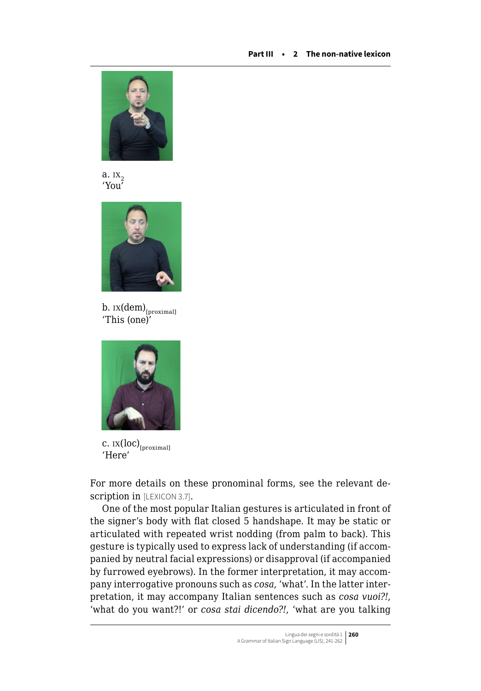

a.  $IX_2$ 'You'



b.  $ix(dem)_{[proximal]}$ 'This (one)'



c.  $ix(loc)<sub>[proximal]</sub>$ 'Here'

For more details on these pronominal forms, see the relevant description in [LEXICON 3.7].

One of the most popular Italian gestures is articulated in front of the signer's body with flat closed 5 handshape. It may be static or articulated with repeated wrist nodding (from palm to back). This gesture is typically used to express lack of understanding (if accompanied by neutral facial expressions) or disapproval (if accompanied by furrowed eyebrows). In the former interpretation, it may accompany interrogative pronouns such as *cosa*, 'what'. In the latter interpretation, it may accompany Italian sentences such as *cosa vuoi?!*, 'what do you want?!' or *cosa stai dicendo?!*, 'what are you talking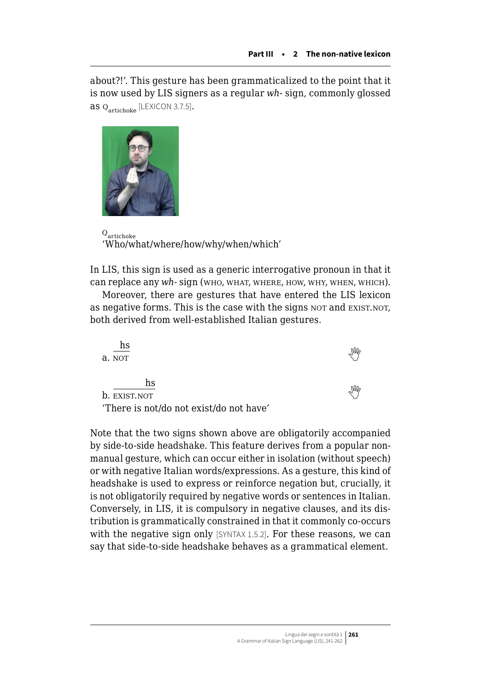about?!'. This gesture has been grammaticalized to the point that it is now used by LIS signers as a regular *wh*- sign, commonly glossed as Q<sub>artichoke</sub> [LEXICON 3.7.5].



Q<sub>artichoke</sub> 'Who/what/where/how/why/when/which'

In LIS, this sign is used as a generic interrogative pronoun in that it can replace any *wh*- sign (who, what, where, how, why, when, which).

Moreover, there are gestures that have entered the LIS lexicon as negative forms. This is the case with the signs not and EXIST.NOT. both derived from well-established Italian gestures.



Note that the two signs shown above are obligatorily accompanied by side-to-side headshake. This feature derives from a popular nonmanual gesture, which can occur either in isolation (without speech) or with negative Italian words/expressions. As a gesture, this kind of headshake is used to express or reinforce negation but, crucially, it is not obligatorily required by negative words or sentences in Italian. Conversely, in LIS, it is compulsory in negative clauses, and its distribution is grammatically constrained in that it commonly co-occurs with the negative sign only [SYNTAX 1.5.2]. For these reasons, we can say that side-to-side headshake behaves as a grammatical element.